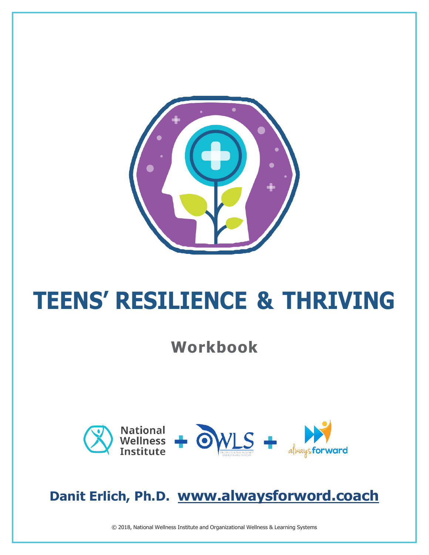

# **TEENS' RESILIENCE & THRIVING**

### **Workbook**



### **Danit Erlich, Ph.D. [www.alwaysforword.coach](http://www.alwaysforword.coach/)**

© 2018, National Wellness Institute and Organizational Wellness & Learning Systems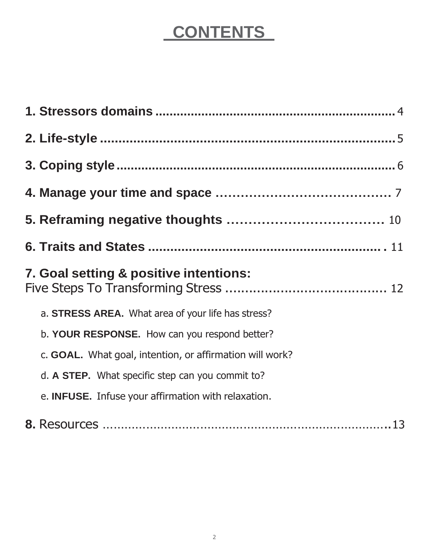### **CONTENTS**

| 7. Goal setting & positive intentions:                   |
|----------------------------------------------------------|
| a. STRESS AREA. What area of your life has stress?       |
| b. YOUR RESPONSE. How can you respond better?            |
| c. GOAL. What goal, intention, or affirmation will work? |
| d. A STEP. What specific step can you commit to?         |
| e. INFUSE. Infuse your affirmation with relaxation.      |
|                                                          |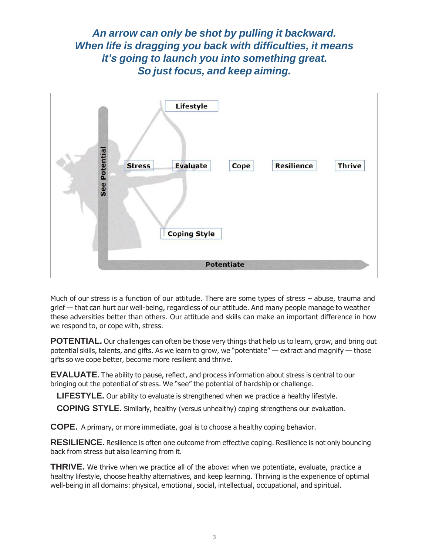*An arrow can only be shot by pulling it backward. When life is dragging you back with difficulties, it means it's going to launch you into something great. So just focus, and keep aiming.*



Much of our stress is a function of our attitude. There are some types of stress – abuse, trauma and grief — that can hurt our well-being, regardless of our attitude. And many people manage to weather these adversities better than others. Our attitude and skills can make an important difference in how we respond to, or cope with, stress.

**POTENTIAL.** Our challenges can often be those very things that help us to learn, grow, and bring out potential skills, talents, and gifts. As we learn to grow, we "potentiate" — extract and magnify — those gifts so we cope better, become more resilient and thrive.

**EVALUATE**. The ability to pause, reflect, and process information about stress is central to our bringing out the potential of stress. We "see" the potential of hardship or challenge.

**LIFESTYLE.** Our ability to evaluate is strengthened when we practice a healthy lifestyle.

**COPING STYLE.** Similarly, healthy (versus unhealthy) coping strengthens our evaluation.

**COPE.** A primary, or more immediate, goal is to choose a healthy coping behavior.

**RESILIENCE.** Resilience is often one outcome from effective coping. Resilience is not only bouncing back from stress but also learning from it.

**THRIVE.** We thrive when we practice all of the above: when we potentiate, evaluate, practice a healthy lifestyle, choose healthy alternatives, and keep learning. Thriving is the experience of optimal well-being in all domains: physical, emotional, social, intellectual, occupational, and spiritual.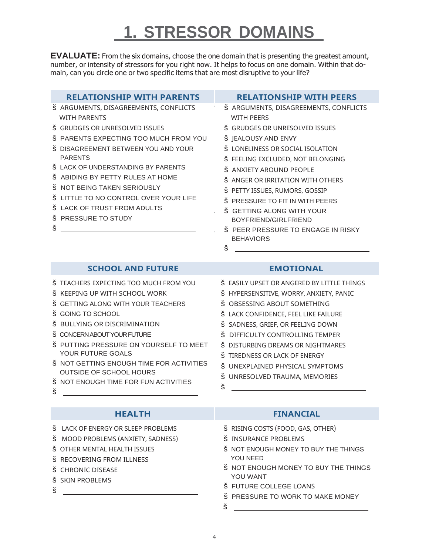### **1. STRESSOR DOMAINS**

**EVALUATE:** From the six domains, choose the one domain that is presenting the greatest amount, number, or intensity of stressors for you right now. It helps to focus on one domain. Within that domain, can you circle one or two specific items that are most disruptive to your life?

| <b>RELATIONSHIP WITH PARENTS</b>                                                                                                                                                                                                                                                                                                                                                                              | <b>RELATIONSHIP WITH PEERS</b>                                                                                                                                                                                                                                                                                                                                                                                                                        |
|---------------------------------------------------------------------------------------------------------------------------------------------------------------------------------------------------------------------------------------------------------------------------------------------------------------------------------------------------------------------------------------------------------------|-------------------------------------------------------------------------------------------------------------------------------------------------------------------------------------------------------------------------------------------------------------------------------------------------------------------------------------------------------------------------------------------------------------------------------------------------------|
| Š ARGUMENTS, DISAGREEMENTS, CONFLICTS<br><b>WITH PARENTS</b><br>Š GRUDGES OR UNRESOLVED ISSUES<br>Š PARENTS EXPECTING TOO MUCH FROM YOU<br>Š DISAGREEMENT BETWEEN YOU AND YOUR<br><b>PARENTS</b><br>Š LACK OF UNDERSTANDING BY PARENTS<br>Š ABIDING BY PETTY RULES AT HOME<br>Š NOT BEING TAKEN SERIOUSLY<br>Š LITTLE TO NO CONTROL OVER YOUR LIFE<br>Š LACK OF TRUST FROM ADULTS<br>Š PRESSURE TO STUDY<br>š | Š ARGUMENTS, DISAGREEMENTS, CONFLICTS<br><b>WITH PEERS</b><br>Š GRUDGES OR UNRESOLVED ISSUES<br>Š JEALOUSY AND ENVY<br>Š LONELINESS OR SOCIAL ISOLATION<br>Š FEELING EXCLUDED, NOT BELONGING<br>Š ANXIETY AROUND PEOPLE<br>Š ANGER OR IRRITATION WITH OTHERS<br>Š PETTY ISSUES, RUMORS, GOSSIP<br>Š PRESSURE TO FIT IN WITH PEERS<br>Š GETTING ALONG WITH YOUR<br>BOYFRIEND/GIRLFRIEND<br>Š PEER PRESSURE TO ENGAGE IN RISKY<br><b>BEHAVIORS</b><br>š |
| <b>SCHOOL AND FUTURE</b>                                                                                                                                                                                                                                                                                                                                                                                      | <b>EMOTIONAL</b>                                                                                                                                                                                                                                                                                                                                                                                                                                      |
| Š TEACHERS EXPECTING TOO MUCH FROM YOU<br>Š KEEPING UP WITH SCHOOL WORK<br>Š GETTING ALONG WITH YOUR TEACHERS<br>Š GOING TO SCHOOL                                                                                                                                                                                                                                                                            | Š EASILY UPSET OR ANGERED BY LITTLE THINGS<br>Š HYPERSENSITIVE, WORRY, ANXIETY, PANIC<br>Š OBSESSING ABOUT SOMETHING<br>LACK CONFIDENCE, FEEL LIKE FAILURE<br>Š.                                                                                                                                                                                                                                                                                      |

- š GOING TO SCHOOL
- š BULLYING OR DISCRIMINATION
- š CONCERN ABOUT YOUR FUTURE
- š PUTTING PRESSURE ON YOURSELF TO MEET YOUR FUTURE GOALS
- š NOT GETTING ENOUGH TIME FOR ACTIVITIES OUTSIDE OF SCHOOL HOURS
- š NOT ENOUGH TIME FOR FUN ACTIVITIES
- š

- š LACK OF ENERGY OR SLEEP PROBLEMS
- š MOOD PROBLEMS (ANXIETY, SADNESS)
- š OTHER MENTAL HEALTH ISSUES
- š RECOVERING FROM ILLNESS
- š CHRONIC DISEASE
- š SKIN PROBLEMS
- $\check{\mathbf{s}}$  and  $\Box$

#### **HEALTH FINANCIAL**

š RISING COSTS (FOOD, GAS, OTHER)

š SADNESS, GRIEF, OR FEELING DOWN š DIFFICULTY CONTROLLING TEMPER š DISTURBING DREAMS OR NIGHTMARES

š UNEXPLAINED PHYSICAL SYMPTOMS š UNRESOLVED TRAUMA, MEMORIES

š TIREDNESS OR LACK OF ENERGY

- š INSURANCE PROBLEMS
- š NOT ENOUGH MONEY TO BUY THE THINGS YOU NEED
- š NOT ENOUGH MONEY TO BUY THE THINGS YOU WANT
- š FUTURE COLLEGE LOANS
- š PRESSURE TO WORK TO MAKE MONEY
- š

š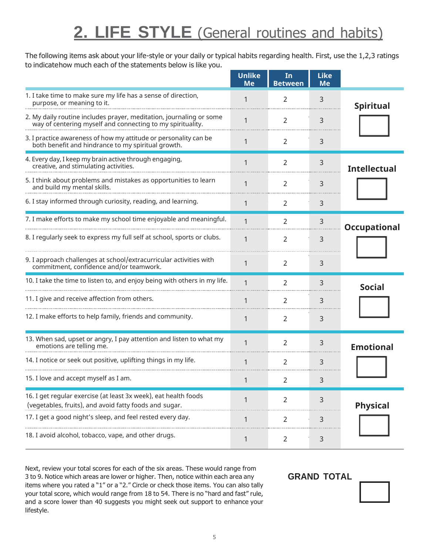### **2. LIFE STYLE** (General routines and habits)

The following items ask about your life-style or your daily or typical habits regarding health. First, use the 1,2,3 ratings to indicatehow much each of the statements below is like you.

|                                                                                                                                   | <b>Unlike</b><br><b>Me</b> | In<br><b>Between</b> | <b>Like</b><br><b>Me</b> |                     |  |
|-----------------------------------------------------------------------------------------------------------------------------------|----------------------------|----------------------|--------------------------|---------------------|--|
| 1. I take time to make sure my life has a sense of direction,<br>purpose, or meaning to it.                                       | 1                          | $\overline{2}$       | 3                        | <b>Spiritual</b>    |  |
| 2. My daily routine includes prayer, meditation, journaling or some<br>way of centering myself and connecting to my spirituality. | 1                          | 2                    | 3                        |                     |  |
| 3. I practice awareness of how my attitude or personality can be<br>both benefit and hindrance to my spiritual growth.            | 1                          | 2                    | 3                        |                     |  |
| 4. Every day, I keep my brain active through engaging,<br>creative, and stimulating activities.                                   | 1                          | 2                    | 3                        | <b>Intellectual</b> |  |
| 5. I think about problems and mistakes as opportunities to learn<br>and build my mental skills.                                   | 1                          | $\overline{2}$       | 3                        |                     |  |
| 6. I stay informed through curiosity, reading, and learning.                                                                      | 1                          | 2                    | 3                        |                     |  |
| 7. I make efforts to make my school time enjoyable and meaningful.                                                                | $\mathbf 1$                | 2                    | 3                        | <b>Occupational</b> |  |
| 8. I regularly seek to express my full self at school, sports or clubs.                                                           | $\mathbf{1}$               | 2                    | 3                        |                     |  |
| 9. I approach challenges at school/extracurricular activities with<br>commitment, confidence and/or teamwork.                     | 1                          | 2                    | 3                        |                     |  |
| 10. I take the time to listen to, and enjoy being with others in my life.                                                         | 1                          | 2                    | 3                        | <b>Social</b>       |  |
| 11. I give and receive affection from others.                                                                                     | 1                          | 2                    | 3                        |                     |  |
| 12. I make efforts to help family, friends and community.                                                                         | 1                          | 2                    | 3                        |                     |  |
| 13. When sad, upset or angry, I pay attention and listen to what my<br>emotions are telling me.                                   | $\mathbf 1$                | 2                    | 3                        | <b>Emotional</b>    |  |
| 14. I notice or seek out positive, uplifting things in my life.                                                                   |                            | 2                    | 3                        |                     |  |
| 15. I love and accept myself as I am.                                                                                             | 1                          | 2                    | 3                        |                     |  |
| 16. I get regular exercise (at least 3x week), eat health foods<br>(vegetables, fruits), and avoid fatty foods and sugar.         | 1                          | 2                    | 3                        | <b>Physical</b>     |  |
| 17. I get a good night's sleep, and feel rested every day.                                                                        |                            | 2                    | 3                        |                     |  |
| 18. I avoid alcohol, tobacco, vape, and other drugs.                                                                              | 1                          | 2                    | 3                        |                     |  |

Next, review your total scores for each of the six areas. These would range from 3 to 9. Notice which areas are lower or higher. Then, notice within each area any items where you rated a "1" or a "2." Circle or check those items. You can also tally your total score, which would range from 18 to 54. There is no "hard and fast" rule, and a score lower than 40 suggests you might seek out support to enhance your lifestyle.

 **GRAND TOTAL**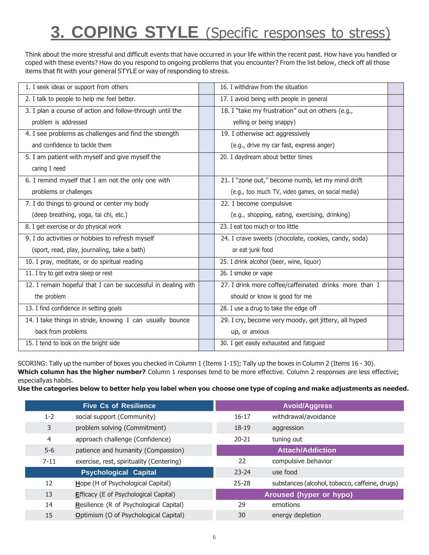### **3. COPING STYLE** (Specific responses to stress)

Think about the more stressful and difficult events that have occurred in your life within the recent past. How have you handled or coped with these events? How do you respond to ongoing problems that you encounter? From the list below, check off all those items that fit with your general STYLE or way of responding to stress.

| 1. I seek ideas or support from others                        | 16. I withdraw from the situation                      |  |
|---------------------------------------------------------------|--------------------------------------------------------|--|
| 2. I talk to people to help me feel better.                   | 17. I avoid being with people in general               |  |
| 3. I plan a course of action and follow-through until the     | 18. I "take my frustration" out on others (e.g.,       |  |
| problem is addressed                                          | yelling or being snappy)                               |  |
| 4. I see problems as challenges and find the strength         | 19. I otherwise act aggressively                       |  |
| and confidence to tackle them                                 | (e.g., drive my car fast, express anger)               |  |
| 5. I am patient with myself and give myself the               | 20. I daydream about better times                      |  |
| caring I need                                                 |                                                        |  |
| 6. I remind myself that I am not the only one with            | 21. I "zone out," become numb, let my mind drift       |  |
| problems or challenges                                        | (e.g., too much TV, video games, on social media)      |  |
| 7. I do things to ground or center my body                    | 22. I become compulsive                                |  |
| (deep breathing, yoga, tai chi, etc.)                         | (e.g., shopping, eating, exercising, drinking)         |  |
| 8. I get exercise or do physical work                         | 23. I eat too much or too little                       |  |
| 9. I do activities or hobbies to refresh myself               | 24. I crave sweets (chocolate, cookies, candy, soda)   |  |
| (sport, read, play, journaling, take a bath)                  | or eat junk food                                       |  |
| 10. I pray, meditate, or do spiritual reading                 | 25. I drink alcohol (beer, wine, liquor)               |  |
| 11. I try to get extra sleep or rest                          | 26. I smoke or vape                                    |  |
| 12. I remain hopeful that I can be successful in dealing with | 27. I drink more coffee/caffeinated drinks more than I |  |
| the problem                                                   | should or know is good for me                          |  |
| 13. I find confidence in setting goals                        | 28. I use a drug to take the edge off                  |  |
| 14. I take things in stride, knowing I can usually bounce     | 29. I cry, become very moody, get jittery, all hyped   |  |
| back from problems                                            | up, or anxious                                         |  |
| 15. I tend to look on the bright side                         | 30. I get easily exhausted and fatigued                |  |

SCORING: Tally up the number of boxes you checked in Column 1 (Items 1-15); Tally up the boxes in Column 2 (Items 16 - 30). **Which column has the higher number?** Column 1 responses tend to be more effective. Column 2 responses are less effective; especiallyas habits.

Use the categories below to better help you label when you choose one type of coping and make adjustments as needed.

|          | <b>Five Cs of Resilience</b>             |           | <b>Avoid/Aggress</b>                           |
|----------|------------------------------------------|-----------|------------------------------------------------|
| $1 - 2$  | social support (Community)               | 16-17     | withdrawal/avoidance                           |
| 3        | problem solving (Commitment)             | $18-19$   | aggression                                     |
| 4        | approach challenge (Confidence)          | $20 - 21$ | tuning out                                     |
| $5-6$    | patience and humanity (Compassion)       |           | <b>Attach/Addiction</b>                        |
| $7 - 11$ | exercise, rest, spirituality (Centering) | 22        | compulsive behavior                            |
|          | <b>Psychological Capital</b>             | $23 - 24$ | use food                                       |
| 12       | Hope (H of Psychological Capital)        | $25 - 28$ | substances (alcohol, tobacco, caffeine, drugs) |
| 13       | Efficacy (E of Psychological Capital)    |           | <b>Aroused (hyper or hypo)</b>                 |
| 14       | Resilience (R of Psychological Capital)  | 29        | emotions                                       |
| 15       | Optimism (O of Psychological Capital)    | 30        | energy depletion                               |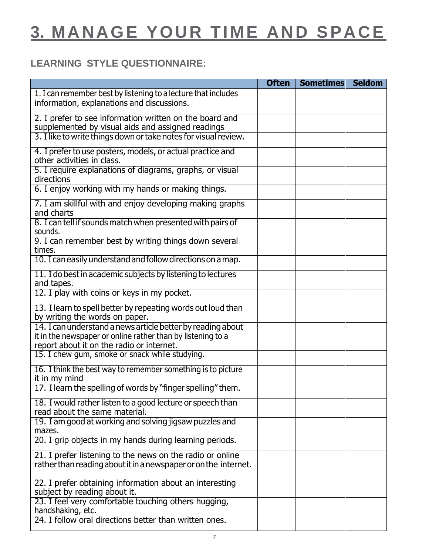### **3. MANAGE YOUR TIME AND SPACE**

### **LEARNING STYLE QUESTIONNAIRE:**

|                                                                                                                                                                         | <b>Often</b> | <b>Sometimes</b> | <b>Seldom</b> |
|-------------------------------------------------------------------------------------------------------------------------------------------------------------------------|--------------|------------------|---------------|
| 1. I can remember best by listening to a lecture that includes<br>information, explanations and discussions.                                                            |              |                  |               |
| 2. I prefer to see information written on the board and<br>supplemented by visual aids and assigned readings                                                            |              |                  |               |
| 3. I like to write things down or take notes for visual review.                                                                                                         |              |                  |               |
| 4. I prefer to use posters, models, or actual practice and<br>other activities in class.                                                                                |              |                  |               |
| 5. I require explanations of diagrams, graphs, or visual<br>directions                                                                                                  |              |                  |               |
| 6. I enjoy working with my hands or making things.                                                                                                                      |              |                  |               |
| 7. I am skillful with and enjoy developing making graphs<br>and charts                                                                                                  |              |                  |               |
| 8. I can tell if sounds match when presented with pairs of<br>sounds.                                                                                                   |              |                  |               |
| 9. I can remember best by writing things down several<br>times.                                                                                                         |              |                  |               |
| 10. I can easily understand and follow directions on a map.                                                                                                             |              |                  |               |
| 11. I do best in academic subjects by listening to lectures<br>and tapes.                                                                                               |              |                  |               |
| 12. I play with coins or keys in my pocket.                                                                                                                             |              |                  |               |
| 13. I learn to spell better by repeating words out loud than<br>by writing the words on paper.                                                                          |              |                  |               |
| 14. I can understand a news article better by reading about<br>it in the newspaper or online rather than by listening to a<br>report about it on the radio or internet. |              |                  |               |
| 15. I chew gum, smoke or snack while studying.                                                                                                                          |              |                  |               |
| 16. I think the best way to remember something is to picture<br>it in my mind                                                                                           |              |                  |               |
| 17. I learn the spelling of words by "finger spelling" them.                                                                                                            |              |                  |               |
| 18. I would rather listen to a good lecture or speech than<br>read about the same material.                                                                             |              |                  |               |
| 19. I am good at working and solving jigsaw puzzles and<br>mazes.                                                                                                       |              |                  |               |
| 20. I grip objects in my hands during learning periods.                                                                                                                 |              |                  |               |
| 21. I prefer listening to the news on the radio or online<br>rather than reading about it in a newspaper or on the internet.                                            |              |                  |               |
| 22. I prefer obtaining information about an interesting                                                                                                                 |              |                  |               |
| subject by reading about it.                                                                                                                                            |              |                  |               |
| 23. I feel very comfortable touching others hugging,<br>handshaking, etc.                                                                                               |              |                  |               |
| 24. I follow oral directions better than written ones.                                                                                                                  |              |                  |               |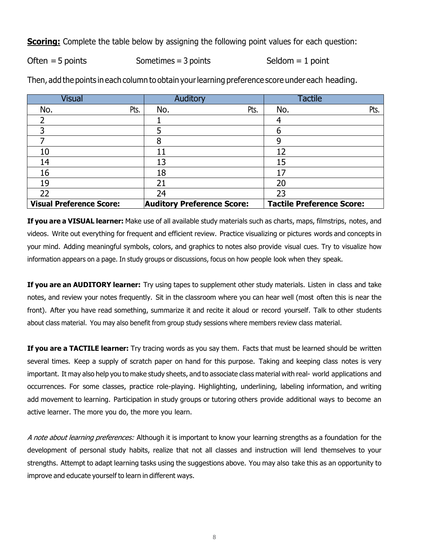**Scoring:** Complete the table below by assigning the following point values for each question:

 $Often = 5 points$  Sometimes = 3 points Seldom = 1 point

| <b>Visual</b>                   | Auditory                          | <b>Tactile</b>                   |
|---------------------------------|-----------------------------------|----------------------------------|
| No.<br>Pts.                     | Pts.<br>No.                       | Pts.<br>No.                      |
|                                 |                                   |                                  |
|                                 |                                   |                                  |
|                                 | 8                                 | 9                                |
| 10                              | 11                                | 12                               |
| 14                              | 13                                | 15                               |
| 16                              | 18                                | 17                               |
| 19                              | 21                                | 20                               |
| 22                              | 24                                | 23                               |
| <b>Visual Preference Score:</b> | <b>Auditory Preference Score:</b> | <b>Tactile Preference Score:</b> |

Then, add the points in each column to obtain yourlearning preference score under each heading.

**If you are a VISUAL learner:** Make use of all available study materials such as charts, maps, filmstrips, notes, and videos. Write out everything for frequent and efficient review. Practice visualizing or pictures words and concepts in your mind. Adding meaningful symbols, colors, and graphics to notes also provide visual cues. Try to visualize how information appears on a page. In study groups or discussions, focus on how people look when they speak.

**If you are an AUDITORY learner:** Try using tapes to supplement other study materials. Listen in class and take notes, and review your notes frequently. Sit in the classroom where you can hear well (most often this is near the front). After you have read something, summarize it and recite it aloud or record yourself. Talk to other students about class material. You may also benefit from group study sessions where members review class material.

**If you are a TACTILE learner:** Try tracing words as you say them. Facts that must be learned should be written several times. Keep a supply of scratch paper on hand for this purpose. Taking and keeping class notes is very important. It may also help you to make study sheets, and to associate class material with real- world applications and occurrences. For some classes, practice role-playing. Highlighting, underlining, labeling information, and writing add movement to learning. Participation in study groups or tutoring others provide additional ways to become an active learner. The more you do, the more you learn.

A note about learning preferences: Although it is important to know your learning strengths as a foundation for the development of personal study habits, realize that not all classes and instruction will lend themselves to your strengths. Attempt to adapt learning tasks using the suggestions above. You may also take this as an opportunity to improve and educate yourself to learn in different ways.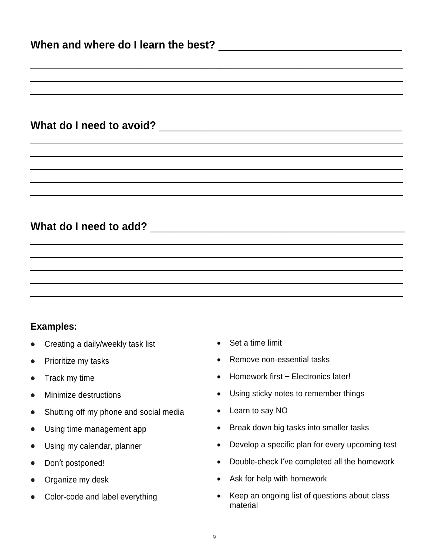| <b>Examples:</b> |  |  |  |
|------------------|--|--|--|

- Creating a daily/weekly task list Set a time limit
- 
- 
- 
- Shutting off my phone and social media Learn to say NO
- 
- 
- 
- 
- 
- 
- Prioritize my tasks  **Remove non-essential tasks**
- Track my time **•** Homework first Electronics later!
- Minimize destructions Using sticky notes to remember things
	-
- Using time management app **•** Break down big tasks into smaller tasks
- Using my calendar, planner **•** Develop a specific plan for every upcoming test
- Don't postponed! Double-check I've completed all the homework
- Organize my desk  **Ask for help with homework**
- Color-code and label everything Keep an ongoing list of questions about class material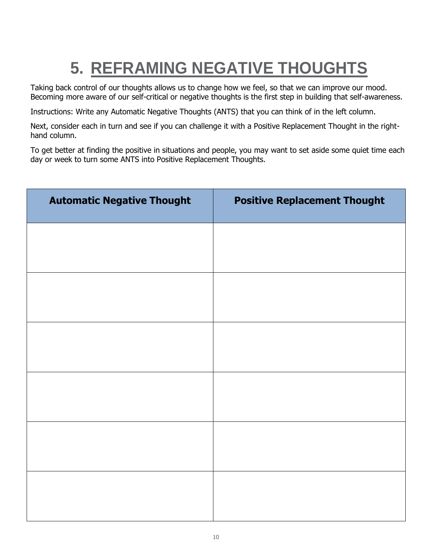## **5. REFRAMING NEGATIVE THOUGHTS**

Taking back control of our thoughts allows us to change how we feel, so that we can improve our mood. Becoming more aware of our self-critical or negative thoughts is the first step in building that self-awareness.

Instructions: Write any Automatic Negative Thoughts (ANTS) that you can think of in the left column.

Next, consider each in turn and see if you can challenge it with a Positive Replacement Thought in the righthand column.

To get better at finding the positive in situations and people, you may want to set aside some quiet time each day or week to turn some ANTS into Positive Replacement Thoughts.

| <b>Automatic Negative Thought</b> | <b>Positive Replacement Thought</b> |
|-----------------------------------|-------------------------------------|
|                                   |                                     |
|                                   |                                     |
|                                   |                                     |
|                                   |                                     |
|                                   |                                     |
|                                   |                                     |
|                                   |                                     |
|                                   |                                     |
|                                   |                                     |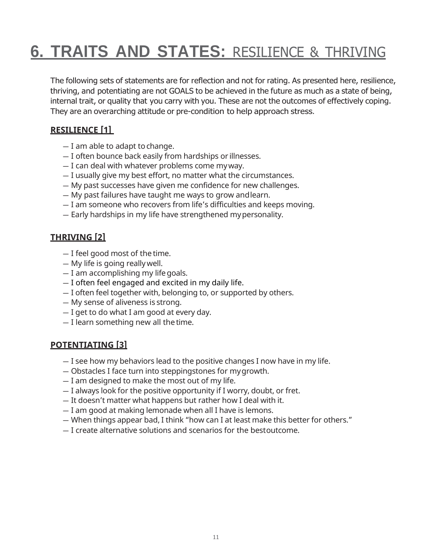### **6. TRAITS AND STATES:** RESILIENCE & THRIVING

The following sets of statements are for reflection and not for rating. As presented here, resilience, thriving, and potentiating are not GOALS to be achieved in the future as much as a state of being, internal trait, or quality that you carry with you. These are not the outcomes of effectively coping. They are an overarching attitude or pre-condition to help approach stress.

#### **RESILIENCE [1]**

- $-$  I am able to adapt to change.
- I often bounce back easily from hardships or illnesses.
- I can deal with whatever problems come myway.
- I usually give my best effort, no matter what the circumstances.
- My past successes have given me confidence for new challenges.
- My past failures have taught me ways to grow andlearn.
- I am someone who recovers from life's difficulties and keeps moving.
- Early hardships in my life have strengthened mypersonality.

#### **THRIVING [2]**

- I feel good most of the time.
- My life is going reallywell.
- I am accomplishing my lifegoals.
- I often feel engaged and excited in my daily life.
- I often feel together with, belonging to, or supported by others.
- My sense of aliveness is strong.
- I get to do what I am good at every day.
- $-$  I learn something new all the time.

#### **POTENTIATING [3]**

- I see how my behaviors lead to the positive changes I now have in my life.
- Obstacles I face turn into steppingstones for mygrowth.
- I am designed to make the most out of my life.
- I always look for the positive opportunity if I worry, doubt, or fret.
- It doesn't matter what happens but rather how I deal with it.
- I am good at making lemonade when all I have is lemons.
- When things appear bad, I think "how can I at least make this better for others."
- I create alternative solutions and scenarios for the bestoutcome.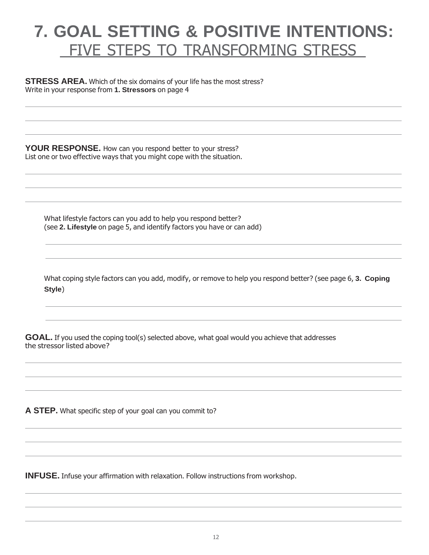### <span id="page-11-1"></span><span id="page-11-0"></span>**7. GOAL SETTING & POSITIVE INTENTIONS:** FIVE STEPS TO TRANSFORMING STRESS

#### **STRESS AREA.** Which of the six domains of your life has the most stress? Write in your response from **1. Stressors** on page 4

**YOUR RESPONSE.** How can you respond better to your stress? List one or two effective ways that you might cope with the situation.

What lifestyle factors can you add to help you respond better? (see **2. Lifestyle** on page 5, and identify factors you have or can add)

What coping style factors can you add, modify, or remove to help you respond better? (see page 6, **3. Coping Style**)

**GOAL.** If you used the coping tool(s) selected above, what goal would you achieve that addresses the stressor listed above?

**A STEP.** What specific step of your goal can you commit to?

**INFUSE.** Infuse your affirmation with relaxation. Follow instructions from workshop.